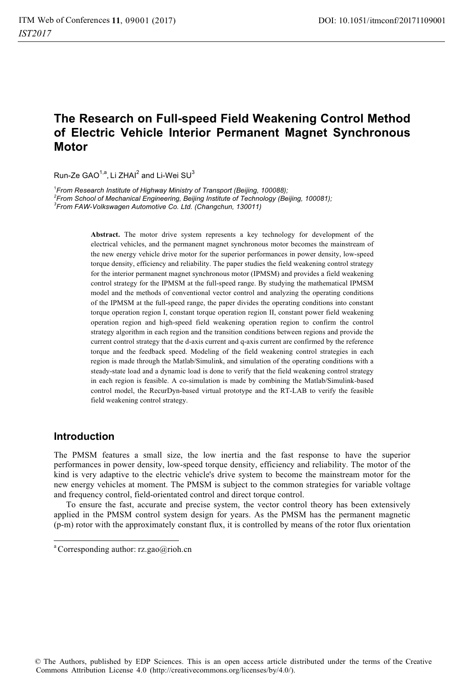# **The Research on Full-speed Field Weakening Control Method of Electric Vehicle Interior Permanent Magnet Synchronous Motor**

Run-Ze GAO $^{\rm 1,a}$ . Li ZHAI $^{\rm 2}$  and Li-Wei SU $^{\rm 3}$ 

<sup>1</sup> From Research Institute of Highway Ministry of Transport (Beijing, 100088);<br><sup>2</sup> From School of Mochanical Engineering, Beijing Institute of Technology (Bei <sup>2</sup> From School of Mechanical Engineering, Beijing Institute of Technology (Beijing, 100081); *From FAW-Volkswagen Automotive Co. Ltd. (Changchun, 130011)* 

> **Abstract.** The motor drive system represents a key technology for development of the electrical vehicles, and the permanent magnet synchronous motor becomes the mainstream of the new energy vehicle drive motor for the superior performances in power density, low-speed torque density, efficiency and reliability. The paper studies the field weakening control strategy for the interior permanent magnet synchronous motor (IPMSM) and provides a field weakening control strategy for the IPMSM at the full-speed range. By studying the mathematical IPMSM model and the methods of conventional vector control and analyzing the operating conditions of the IPMSM at the full-speed range, the paper divides the operating conditions into constant torque operation region I, constant torque operation region II, constant power field weakening operation region and high-speed field weakening operation region to confirm the control strategy algorithm in each region and the transition conditions between regions and provide the current control strategy that the d-axis current and q-axis current are confirmed by the reference torque and the feedback speed. Modeling of the field weakening control strategies in each region is made through the Matlab/Simulink, and simulation of the operating conditions with a steady-state load and a dynamic load is done to verify that the field weakening control strategy in each region is feasible. A co-simulation is made by combining the Matlab/Simulink-based control model, the RecurDyn-based virtual prototype and the RT-LAB to verify the feasible field weakening control strategy.

### **Introduction**

The PMSM features a small size, the low inertia and the fast response to have the superior performances in power density, low-speed torque density, efficiency and reliability. The motor of the kind is very adaptive to the electric vehicle's drive system to become the mainstream motor for the new energy vehicles at moment. The PMSM is subject to the common strategies for variable voltage and frequency control, field-orientated control and direct torque control.

To ensure the fast, accurate and precise system, the vector control theory has been extensively applied in the PMSM control system design for years. As the PMSM has the permanent magnetic (p-m) rotor with the approximately constant flux, it is controlled by means of the rotor flux orientation

© The Authors, published by EDP Sciences. This is an open access article distributed under the terms of the Creative Commons Attribution License 4.0 (http://creativecommons.org/licenses/by/4.0/).

<sup>&</sup>lt;sup>a</sup> Corresponding author:  $rz.gao@rioh.$ cn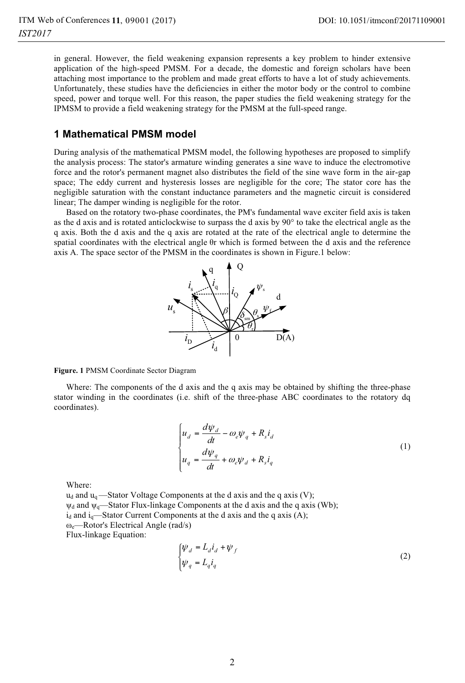in general. However, the field weakening expansion represents a key problem to hinder extensive application of the high-speed PMSM. For a decade, the domestic and foreign scholars have been attaching most importance to the problem and made great efforts to have a lot of study achievements. Unfortunately, these studies have the deficiencies in either the motor body or the control to combine speed, power and torque well. For this reason, the paper studies the field weakening strategy for the IPMSM to provide a field weakening strategy for the PMSM at the full-speed range.

## **1 Mathematical PMSM model**

During analysis of the mathematical PMSM model, the following hypotheses are proposed to simplify the analysis process: The stator's armature winding generates a sine wave to induce the electromotive force and the rotor's permanent magnet also distributes the field of the sine wave form in the air-gap space; The eddy current and hysteresis losses are negligible for the core; The stator core has the negligible saturation with the constant inductance parameters and the magnetic circuit is considered linear; The damper winding is negligible for the rotor.

Based on the rotatory two-phase coordinates, the PM's fundamental wave exciter field axis is taken as the d axis and is rotated anticlockwise to surpass the d axis by 90° to take the electrical angle as the q axis. Both the d axis and the q axis are rotated at the rate of the electrical angle to determine the spatial coordinates with the electrical angle θr which is formed between the d axis and the reference axis A. The space sector of the PMSM in the coordinates is shown in Figure.1 below:



**Figure. 1** PMSM Coordinate Sector Diagram

Where: The components of the d axis and the q axis may be obtained by shifting the three-phase stator winding in the coordinates (i.e. shift of the three-phase ABC coordinates to the rotatory dq coordinates).

$$
\begin{cases}\n u_d = \frac{d\psi_d}{dt} - \omega_e \psi_q + R_s i_d \\
 u_q = \frac{d\psi_q}{dt} + \omega_e \psi_d + R_s i_q\n\end{cases}
$$
\n(1)

Where:

 $u_d$  and  $u_d$ —Stator Voltage Components at the d axis and the q axis (V);  $\psi_d$  and  $\psi_q$ —Stator Flux-linkage Components at the d axis and the q axis (Wb);  $i_d$  and  $i_q$ —Stator Current Components at the d axis and the q axis (A);  $\omega_e$ —Rotor's Electrical Angle (rad/s) Flux-linkage Equation:

$$
\begin{cases} \psi_d = L_d i_d + \psi_f \\ \psi_q = L_q i_q \end{cases}
$$
 (2)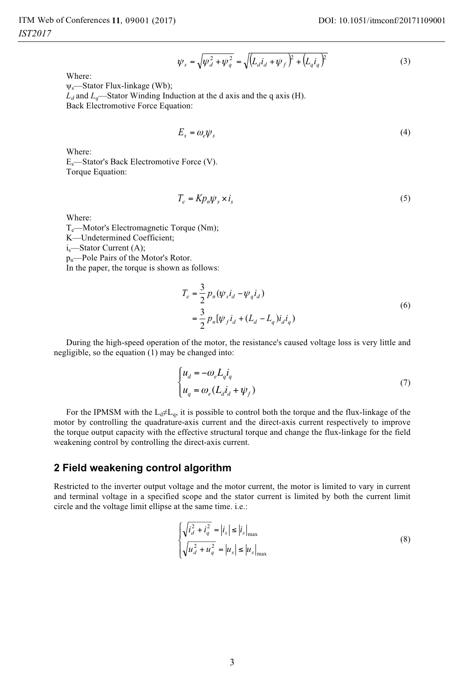$$
\psi_s = \sqrt{\psi_d^2 + \psi_q^2} = \sqrt{\left(L_d i_d + \psi_f\right)^2 + \left(L_q i_q\right)^2}
$$
\n(3)

Where:

 $\nu_s$ —Stator Flux-linkage (Wb);  $L_d$  and  $L_d$ —Stator Winding Induction at the d axis and the q axis (H). Back Electromotive Force Equation:

$$
E_s = \omega_e \psi_s \tag{4}
$$

Where:

Es—Stator's Back Electromotive Force (V). Torque Equation:

$$
T_e = K p_n \psi_s \times i_s \tag{5}
$$

Where:

Te—Motor's Electromagnetic Torque (Nm);

K—Undetermined Coefficient;

is—Stator Current (A);

pn—Pole Pairs of the Motor's Rotor.

In the paper, the torque is shown as follows:

$$
T_e = \frac{3}{2} p_n (\psi_s i_d - \psi_q i_d)
$$
  
= 
$$
\frac{3}{2} p_n [\psi_f i_d + (L_d - L_q) i_d i_q)
$$
 (6)

During the high-speed operation of the motor, the resistance's caused voltage loss is very little and negligible, so the equation (1) may be changed into:

$$
\begin{cases} u_d = -\omega_e L_q i_q \\ u_q = \omega_e (L_d i_d + \psi_f) \end{cases}
$$
\n(7)

For the IPMSM with the  $L_d \neq L_q$ , it is possible to control both the torque and the flux-linkage of the motor by controlling the quadrature-axis current and the direct-axis current respectively to improve the torque output capacity with the effective structural torque and change the flux-linkage for the field weakening control by controlling the direct-axis current.

### **2 Field weakening control algorithm**

Restricted to the inverter output voltage and the motor current, the motor is limited to vary in current and terminal voltage in a specified scope and the stator current is limited by both the current limit circle and the voltage limit ellipse at the same time. i.e.:

$$
\begin{cases} \sqrt{\boldsymbol{i}_d^2 + \boldsymbol{i}_q^2} = |\boldsymbol{i}_s| \le |\boldsymbol{i}_s|_{\text{max}} \\ \sqrt{u_d^2 + u_q^2} = |u_s| \le |u_s|_{\text{max}} \end{cases}
$$
 (8)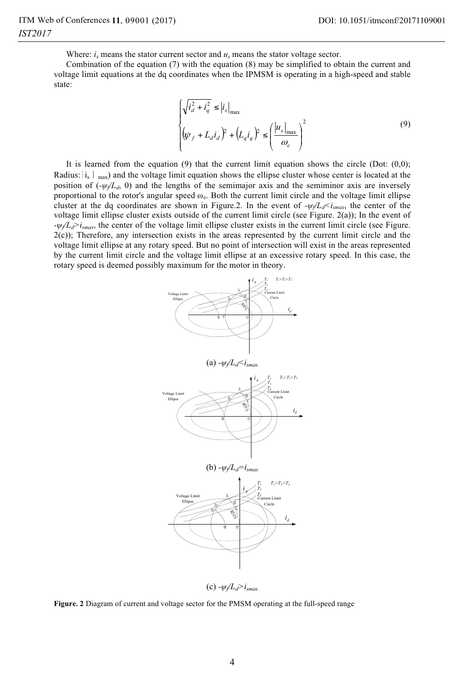Where:  $i_s$  means the stator current sector and  $u_s$  means the stator voltage sector.

Combination of the equation (7) with the equation (8) may be simplified to obtain the current and voltage limit equations at the dq coordinates when the IPMSM is operating in a high-speed and stable state:

$$
\begin{cases}\n\sqrt{\dot{t}_d^2 + \dot{t}_q^2} \leq |\dot{t}_s|_{\text{max}} \\
(\psi_f + L_d \dot{t}_d)^2 + (L_q \dot{t}_q)^2 \leq \left(\frac{|u_s|_{\text{max}}}{\omega_e}\right)^2\n\end{cases}
$$
\n(9)

It is learned from the equation  $(9)$  that the current limit equation shows the circle  $(Dot: (0,0);$ Radius:  $i_s \mid_{\text{max}}$  and the voltage limit equation shows the ellipse cluster whose center is located at the position of  $(\psi/\mathcal{L}_d, 0)$  and the lengths of the semimajor axis and the semiminor axis are inversely proportional to the rotor's angular speed  $\omega_e$ . Both the current limit circle and the voltage limit ellipse cluster at the dq coordinates are shown in Figure.2. In the event of  $-\psi/L_d < i_{\text{smax}}$ , the center of the voltage limit ellipse cluster exists outside of the current limit circle (see Figure.  $2(a)$ ); In the event of *-ψf/Ld>ismax*, the center of the voltage limit ellipse cluster exists in the current limit circle (see Figure. 2(c)); Therefore, any intersection exists in the areas represented by the current limit circle and the voltage limit ellipse at any rotary speed. But no point of intersection will exist in the areas represented by the current limit circle and the voltage limit ellipse at an excessive rotary speed. In this case, the rotary speed is deemed possibly maximum for the motor in theory.



(c) *-ψf/Ld>ismax*

**Figure. 2** Diagram of current and voltage sector for the PMSM operating at the full-speed range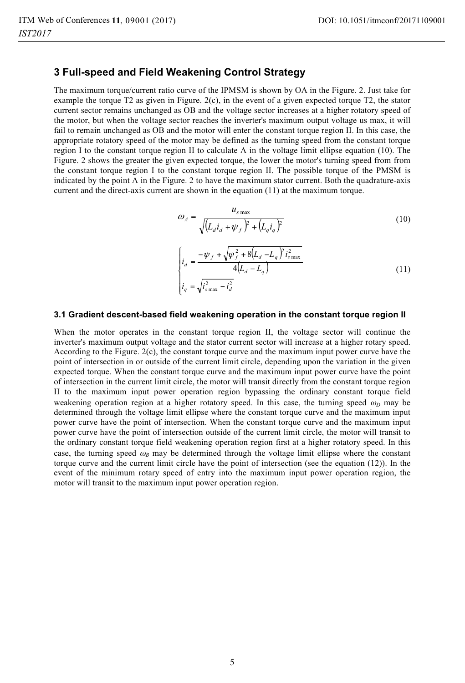## **3 Full-speed and Field Weakening Control Strategy**

The maximum torque/current ratio curve of the IPMSM is shown by OA in the Figure. 2. Just take for example the torque T2 as given in Figure. 2(c), in the event of a given expected torque T2, the stator current sector remains unchanged as OB and the voltage sector increases at a higher rotatory speed of the motor, but when the voltage sector reaches the inverter's maximum output voltage us max, it will fail to remain unchanged as OB and the motor will enter the constant torque region II. In this case, the appropriate rotatory speed of the motor may be defined as the turning speed from the constant torque region I to the constant torque region II to calculate A in the voltage limit ellipse equation (10). The Figure. 2 shows the greater the given expected torque, the lower the motor's turning speed from from the constant torque region I to the constant torque region II. The possible torque of the PMSM is indicated by the point A in the Figure. 2 to have the maximum stator current. Both the quadrature-axis current and the direct-axis current are shown in the equation (11) at the maximum torque.

$$
\omega_A = \frac{u_{s\,\text{max}}}{\sqrt{\left(L_d i_d + \psi_f\right)^2 + \left(L_a i_a\right)^2}}
$$
\n<sup>(10)</sup>

$$
\begin{cases}\ni_d = \frac{-\psi_f + \sqrt{\psi_f^2 + 8(L_d - L_q)^2} i_{s\,\text{max}}^2}{4(L_d - L_q)} \\
i_q = \sqrt{i_{s\,\text{max}}^2 - i_d^2}\n\end{cases} \tag{11}
$$

#### **3.1 Gradient descent-based field weakening operation in the constant torque region II**

When the motor operates in the constant torque region II, the voltage sector will continue the inverter's maximum output voltage and the stator current sector will increase at a higher rotary speed. According to the Figure. 2(c), the constant torque curve and the maximum input power curve have the point of intersection in or outside of the current limit circle, depending upon the variation in the given expected torque. When the constant torque curve and the maximum input power curve have the point of intersection in the current limit circle, the motor will transit directly from the constant torque region II to the maximum input power operation region bypassing the ordinary constant torque field weakening operation region at a higher rotatory speed. In this case, the turning speed  $\omega_D$  may be determined through the voltage limit ellipse where the constant torque curve and the maximum input power curve have the point of intersection. When the constant torque curve and the maximum input power curve have the point of intersection outside of the current limit circle, the motor will transit to the ordinary constant torque field weakening operation region first at a higher rotatory speed. In this case, the turning speed  $\omega_B$  may be determined through the voltage limit ellipse where the constant torque curve and the current limit circle have the point of intersection (see the equation (12)). In the event of the minimum rotary speed of entry into the maximum input power operation region, the motor will transit to the maximum input power operation region.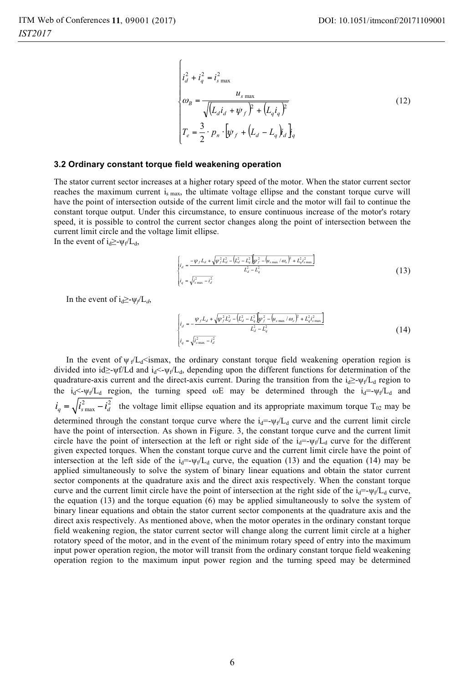$$
\begin{cases}\ni_d^2 + i_q^2 = i_{s \text{ max}}^2 \\
\omega_B = \frac{u_{s \text{ max}}}{\sqrt{(L_d i_d + \psi_f)^2 + (L_q i_q)^2}} \\
T_e = \frac{3}{2} \cdot p_n \cdot \left[\psi_f + (L_d - L_q) i_d\right]_q\n\end{cases}
$$
\n(12)

#### **3.2 Ordinary constant torque field weakening operation**

 $\sqrt{ }$ 

The stator current sector increases at a higher rotary speed of the motor. When the stator current sector reaches the maximum current  $i_{s}$  max, the ultimate voltage ellipse and the constant torque curve will have the point of intersection outside of the current limit circle and the motor will fail to continue the constant torque output. Under this circumstance, to ensure continuous increase of the motor's rotary speed, it is possible to control the current sector changes along the point of intersection between the current limit circle and the voltage limit ellipse. In the event of  $i_d \geq -\psi_f/L_d$ ,

$$
\begin{cases}\ni_{d} = \frac{-\psi_{f}L_{d} + \sqrt{\psi_{f}^{2}L_{d}^{2} - \left(L_{d}^{2} - L_{q}^{2}\sqrt{\psi_{f}^{2} - \left(u_{s\,\text{max}}/ \omega_{e}\right)^{2} + L_{q}^{2}L_{\text{max}}^{2}\right)}}{L_{d}^{2} - L_{q}^{2}} \\
i_{q} = \sqrt{l_{s\,\text{max}}^{2} - i_{d}^{2}}\n\end{cases}
$$
\n(13)

In the event of  $i_d \geq -\frac{\psi}{L_d}$ ,

$$
\begin{cases}\ni_d = -\frac{\psi_f L_d + \sqrt{\psi_f^2 L_d^2 - (L_d^2 - L_q^2)} \sqrt{\psi_f^2 - (u_{s \max} / \omega_e)^2 + L_q^2 i_{s \max}^2}}{L_d^2 - L_q^2}\n\end{cases}
$$
\n(14)

In the event of  $\psi_f/L_d \leq i$ smax, the ordinary constant torque field weakening operation region is divided into id≥- $\psi$ f/Ld and i<sub>d</sub><- $\psi$ <sub>f</sub>/L<sub>d</sub>, depending upon the different functions for determination of the quadrature-axis current and the direct-axis current. During the transition from the  $i_d \geq -\psi_f/L_d$  region to the  $i_d < \psi_f/L_d$  region, the turning speed  $\omega E$  may be determined through the  $i_d = \psi_f/L_d$  and  $i_q = \sqrt{i_{smax}^2 - i_d^2}$  the voltage limit ellipse equation and its appropriate maximum torque T<sub>02</sub> may be determined through the constant torque curve where the  $i_d = \psi_f/L_d$  curve and the current limit circle have the point of intersection. As shown in Figure. 3, the constant torque curve and the current limit circle have the point of intersection at the left or right side of the  $i_d = -\psi_f/L_d$  curve for the different given expected torques. When the constant torque curve and the current limit circle have the point of intersection at the left side of the i<sub>d</sub>=- $\psi_f/L_d$  curve, the equation (13) and the equation (14) may be applied simultaneously to solve the system of binary linear equations and obtain the stator current sector components at the quadrature axis and the direct axis respectively. When the constant torque curve and the current limit circle have the point of intersection at the right side of the  $i_d = -\psi_f/L_d$  curve, the equation (13) and the torque equation (6) may be applied simultaneously to solve the system of binary linear equations and obtain the stator current sector components at the quadrature axis and the direct axis respectively. As mentioned above, when the motor operates in the ordinary constant torque field weakening region, the stator current sector will change along the current limit circle at a higher rotatory speed of the motor, and in the event of the minimum rotary speed of entry into the maximum input power operation region, the motor will transit from the ordinary constant torque field weakening operation region to the maximum input power region and the turning speed may be determined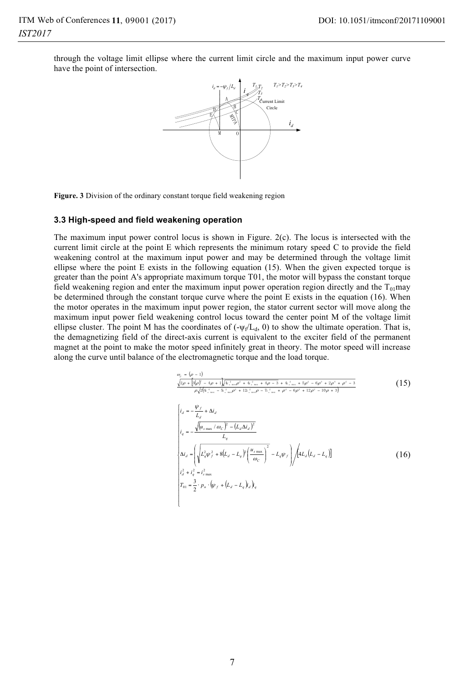through the voltage limit ellipse where the current limit circle and the maximum input power curve have the point of intersection.



**Figure. 3** Division of the ordinary constant torque field weakening region

#### **3.3 High-speed and field weakening operation**

The maximum input power control locus is shown in Figure. 2(c). The locus is intersected with the current limit circle at the point E which represents the minimum rotary speed C to provide the field weakening control at the maximum input power and may be determined through the voltage limit ellipse where the point E exists in the following equation (15). When the given expected torque is greater than the point A's appropriate maximum torque T01, the motor will bypass the constant torque field weakening region and enter the maximum input power operation region directly and the  $T_0$  may be determined through the constant torque curve where the point E exists in the equation (16). When the motor operates in the maximum input power region, the stator current sector will move along the maximum input power field weakening control locus toward the center point M of the voltage limit ellipse cluster. The point M has the coordinates of  $(-\psi_f/L_d, 0)$  to show the ultimate operation. That is, the demagnetizing field of the direct-axis current is equivalent to the exciter field of the permanent magnet at the point to make the motor speed infinitely great in theory. The motor speed will increase along the curve until balance of the electromagnetic torque and the load torque.

$$
\frac{\omega_{\varepsilon} = (\rho - 1)}{\rho \sqrt{2(\mu + \omega_{\varepsilon}^2 - 4\rho + 1)}} \frac{\sqrt{2\rho + \left(\frac{1}{2}(\rho)^2 - 4\rho + 1\right)\sqrt{\mu_{\varepsilon_{\min}}^2 \rho^2 + 4\varepsilon_{\varepsilon_{\min}}^2 + 4\rho - 3} + 4\varepsilon_{\varepsilon_{\min}}^2 + 5\rho^2 - 6\rho^3 + 2\rho^4 + \rho^2 - 3}}{\rho \sqrt{2(\mu_{\varepsilon_{\min}}^2 - 5\varepsilon_{\min}^2 \rho^2 + 12\varepsilon_{\max}^2 \rho - \varepsilon_{\varepsilon_{\min}}^2 + \rho^4 - 6\rho^3 + 12\rho^2 - 10\rho + 3)}}\n\tag{15}
$$

$$
\begin{cases}\ni_{d} = -\frac{\psi_{f}}{L_{d}} + \Delta i_{d} \\
i_{q} = -\frac{\sqrt{(u_{s_{\max}}/\omega_{C})^{2} - (L_{d}\Delta i_{d})^{2}}}{L_{q}} \\
\Delta i_{d} = \left(\sqrt{L_{q}^{2}\psi_{f}^{2} + 8(L_{d} - L_{q})^{2} \left(\frac{u_{s_{\max}}}{\omega_{C}}\right)^{2}} - L_{q}\psi_{f}\right) / 4L_{d}(L_{d} - L_{q})]\n\end{cases}
$$
\n
$$
i_{d}^{2} + i_{q}^{2} = i_{s_{\max}}^{2}
$$
\n
$$
T_{01} = \frac{3}{2} \cdot p_{n} \cdot (\psi_{f} + (L_{d} - L_{q})i_{d})i_{q}
$$
\n(16)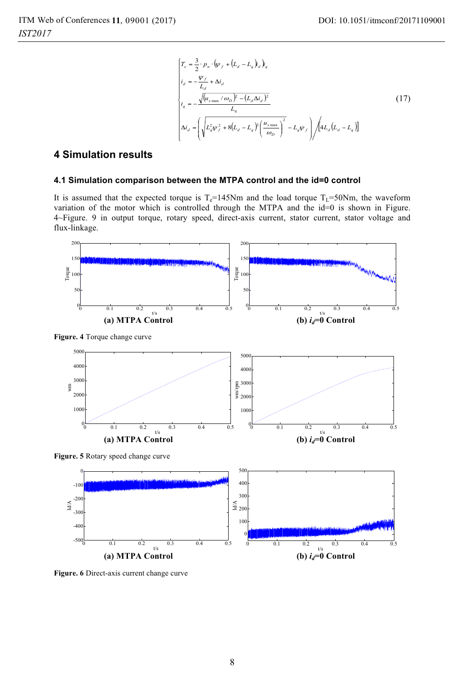$$
\begin{cases}\nT_e = \frac{3}{2} \cdot p_n \cdot (\psi_f + (L_d - L_q)l_d)l_q \\
i_d = -\frac{\psi_f}{L_d} + \Delta i_d \\
i_q = -\frac{\sqrt{(u_{s\max}/\omega_D)^2 - (L_d \Delta i_d)^2}}{L_q} \\
\Delta i_d = \left(\sqrt{L_q^2 \psi_f^2 + 8(L_d - L_q)^2 \left(\frac{u_{s\max}}{\omega_D}\right)^2} - L_q \psi_f\right) / \left[4L_d (L_d - L_q)\right]\n\end{cases} \tag{17}
$$

## **4 Simulation results**

#### **4.1 Simulation comparison between the MTPA control and the id=0 control**

It is assumed that the expected torque is  $T_e=145$ Nm and the load torque  $T_L=50$ Nm, the waveform variation of the motor which is controlled through the MTPA and the id=0 is shown in Figure. 4~Figure. 9 in output torque, rotary speed, direct-axis current, stator current, stator voltage and flux-linkage.



**Figure. 6** Direct-axis current change curve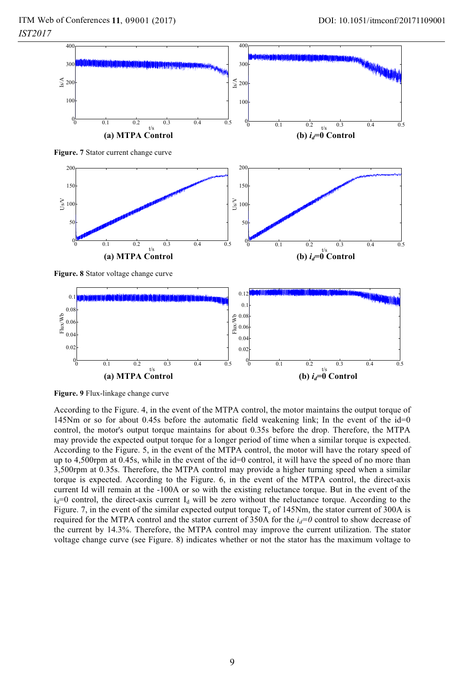

**Figure. 9** Flux-linkage change curve

According to the Figure. 4, in the event of the MTPA control, the motor maintains the output torque of 145Nm or so for about 0.45s before the automatic field weakening link; In the event of the  $id=0$ control, the motor's output torque maintains for about 0.35s before the drop. Therefore, the MTPA may provide the expected output torque for a longer period of time when a similar torque is expected. According to the Figure. 5, in the event of the MTPA control, the motor will have the rotary speed of up to 4,500rpm at 0.45s, while in the event of the id=0 control, it will have the speed of no more than 3,500rpm at 0.35s. Therefore, the MTPA control may provide a higher turning speed when a similar torque is expected. According to the Figure. 6, in the event of the MTPA control, the direct-axis current Id will remain at the -100A or so with the existing reluctance torque. But in the event of the  $i_d=0$  control, the direct-axis current  $I_d$  will be zero without the reluctance torque. According to the Figure. 7, in the event of the similar expected output torque  $T_e$  of 145Nm, the stator current of 300A is required for the MTPA control and the stator current of 350A for the  $i_d=0$  control to show decrease of the current by 14.3%. Therefore, the MTPA control may improve the current utilization. The stator voltage change curve (see Figure. 8) indicates whether or not the stator has the maximum voltage to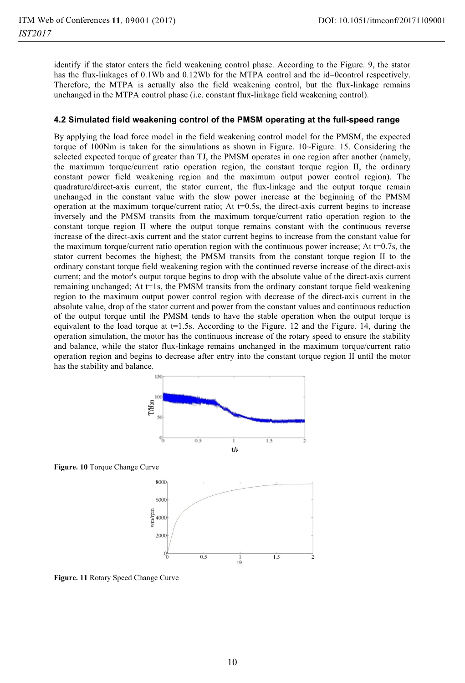identify if the stator enters the field weakening control phase. According to the Figure. 9, the stator has the flux-linkages of 0.1Wb and 0.12Wb for the MTPA control and the id=0control respectively. Therefore, the MTPA is actually also the field weakening control, but the flux-linkage remains unchanged in the MTPA control phase (i.e. constant flux-linkage field weakening control).

#### **4.2 Simulated field weakening control of the PMSM operating at the full-speed range**

By applying the load force model in the field weakening control model for the PMSM, the expected torque of 100Nm is taken for the simulations as shown in Figure. 10~Figure. 15. Considering the selected expected torque of greater than TJ, the PMSM operates in one region after another (namely, the maximum torque/current ratio operation region, the constant torque region II, the ordinary constant power field weakening region and the maximum output power control region). The quadrature/direct-axis current, the stator current, the flux-linkage and the output torque remain unchanged in the constant value with the slow power increase at the beginning of the PMSM operation at the maximum torque/current ratio; At t=0.5s, the direct-axis current begins to increase inversely and the PMSM transits from the maximum torque/current ratio operation region to the constant torque region II where the output torque remains constant with the continuous reverse increase of the direct-axis current and the stator current begins to increase from the constant value for the maximum torque/current ratio operation region with the continuous power increase; At t=0.7s, the stator current becomes the highest; the PMSM transits from the constant torque region II to the ordinary constant torque field weakening region with the continued reverse increase of the direct-axis current; and the motor's output torque begins to drop with the absolute value of the direct-axis current remaining unchanged; At  $t=1s$ , the PMSM transits from the ordinary constant torque field weakening region to the maximum output power control region with decrease of the direct-axis current in the absolute value, drop of the stator current and power from the constant values and continuous reduction of the output torque until the PMSM tends to have the stable operation when the output torque is equivalent to the load torque at  $t=1.5s$ . According to the Figure. 12 and the Figure. 14, during the operation simulation, the motor has the continuous increase of the rotary speed to ensure the stability and balance, while the stator flux-linkage remains unchanged in the maximum torque/current ratio operation region and begins to decrease after entry into the constant torque region II until the motor has the stability and balance.



**Figure. 10** Torque Change Curve



**Figure. 11** Rotary Speed Change Curve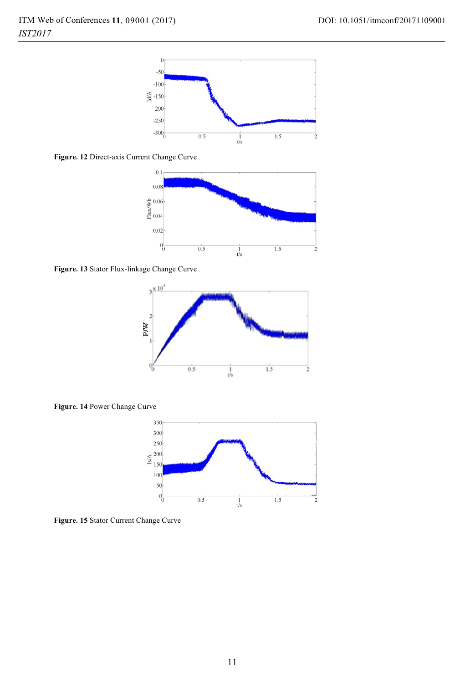

**Figure. 12** Direct-axis Current Change Curve



**Figure. 13** Stator Flux-linkage Change Curve



**Figure. 14** Power Change Curve



**Figure. 15** Stator Current Change Curve